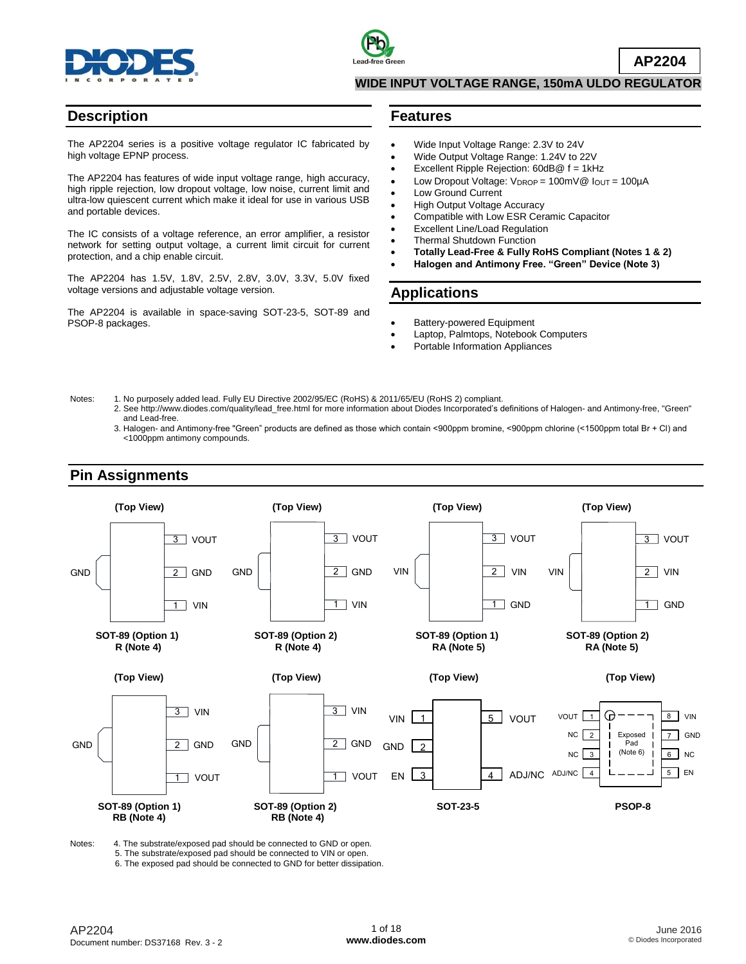



**AP2204**

#### **WIDE INPUT VOLTAGE RANGE, 150mA ULDO REGULATOR**

### **Description**

The AP2204 series is a positive voltage regulator IC fabricated by high voltage EPNP process.

The AP2204 has features of wide input voltage range, high accuracy, high ripple rejection, low dropout voltage, low noise, current limit and ultra-low quiescent current which make it ideal for use in various USB and portable devices.

The IC consists of a voltage reference, an error amplifier, a resistor network for setting output voltage, a current limit circuit for current protection, and a chip enable circuit.

The AP2204 has 1.5V, 1.8V, 2.5V, 2.8V, 3.0V, 3.3V, 5.0V fixed voltage versions and adjustable voltage version.

The AP2204 is available in space-saving SOT-23-5, SOT-89 and PSOP-8 packages.

#### **Features**

- Wide Input Voltage Range: 2.3V to 24V
- Wide Output Voltage Range: 1.24V to 22V
- Excellent Ripple Rejection: 60dB@ f = 1kHz
- Low Dropout Voltage:  $V_{\text{DROP}} = 100 \text{mV} \textcircled{2}$   $I_{\text{OUT}} = 100 \text{mA}$
- Low Ground Current
- High Output Voltage Accuracy
- Compatible with Low ESR Ceramic Capacitor
- Excellent Line/Load Regulation
- Thermal Shutdown Function
- **Totally Lead-Free & Fully RoHS Compliant (Notes 1 & 2)**
- **Halogen and Antimony Free. "Green" Device (Note 3)**

### **Applications**

- Battery-powered Equipment
- Laptop, Palmtops, Notebook Computers
- Portable Information Appliances
- Notes: 1. No purposely added lead. Fully EU Directive 2002/95/EC (RoHS) & 2011/65/EU (RoHS 2) compliant.
	- 2. See [http://www.diodes.com/quality/lead\\_free.html](http://www.diodes.com/quality/lead_free.html) for more information about Diodes Incorporated's definitions of Halogen- and Antimony-free, "Green" and Lead-free.
	- 3. Halogen- and Antimony-free "Green" products are defined as those which contain <900ppm bromine, <900ppm chlorine (<1500ppm total Br + Cl) and <1000ppm antimony compounds.



Notes: 4. The substrate/exposed pad should be connected to GND or open.

5. The substrate/exposed pad should be connected to VIN or open.

6. The exposed pad should be connected to GND for better dissipation.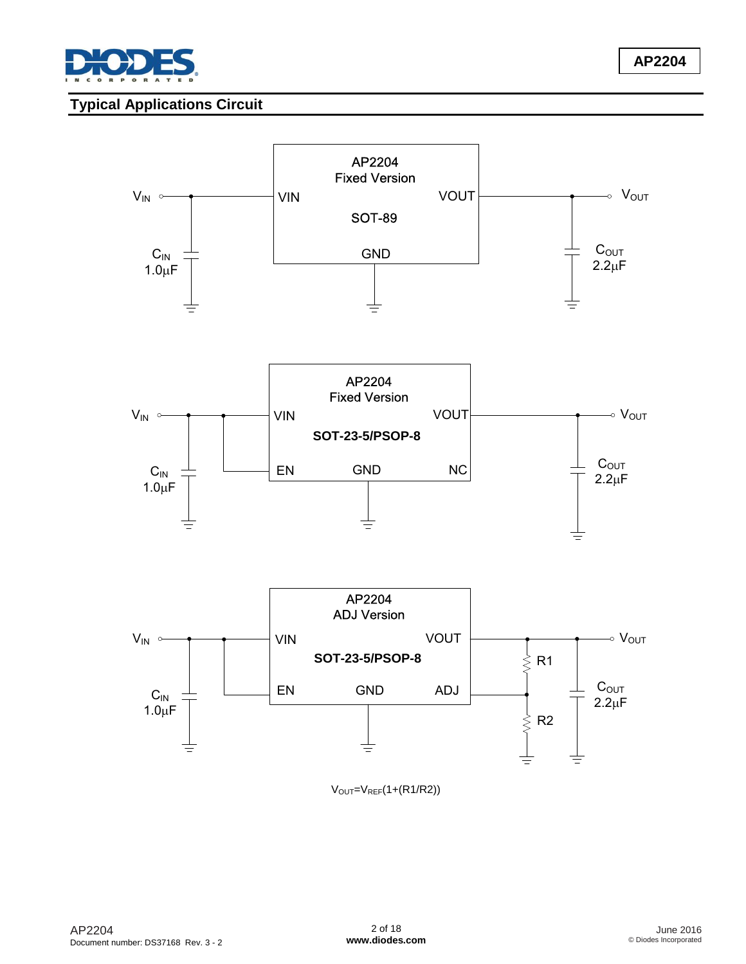

# **Typical Applications Circuit**



 $V<sub>OUT</sub>=V<sub>REF</sub>(1+(R1/R2))$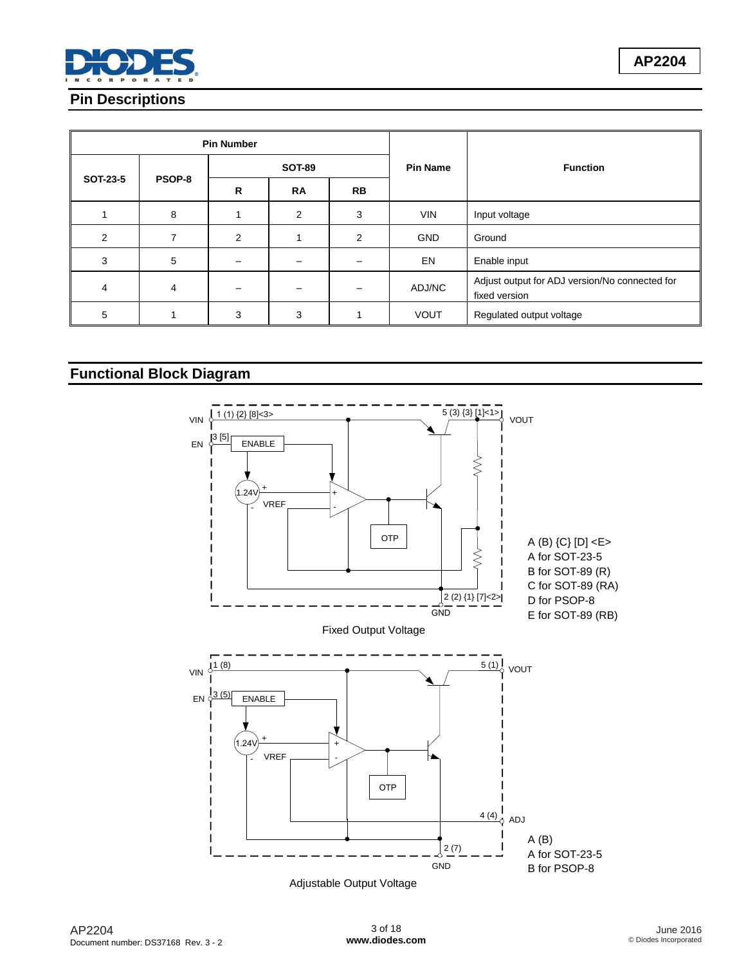

## **Pin Descriptions**

|                 |        | <b>Pin Number</b> |                |           |                 |                                                                 |  |
|-----------------|--------|-------------------|----------------|-----------|-----------------|-----------------------------------------------------------------|--|
|                 |        |                   | <b>SOT-89</b>  |           | <b>Pin Name</b> | <b>Function</b>                                                 |  |
| <b>SOT-23-5</b> | PSOP-8 | R                 | <b>RA</b>      | <b>RB</b> |                 |                                                                 |  |
|                 | 8      |                   | $\overline{2}$ | 3         | <b>VIN</b>      | Input voltage                                                   |  |
| 2               |        | 2                 |                | 2         | <b>GND</b>      | Ground                                                          |  |
| 3               | 5      |                   |                |           | EN              | Enable input                                                    |  |
| 4               | 4      |                   |                |           | ADJ/NC          | Adjust output for ADJ version/No connected for<br>fixed version |  |
| 5               |        | 3                 | 3              |           | <b>VOUT</b>     | Regulated output voltage                                        |  |

## **Functional Block Diagram**

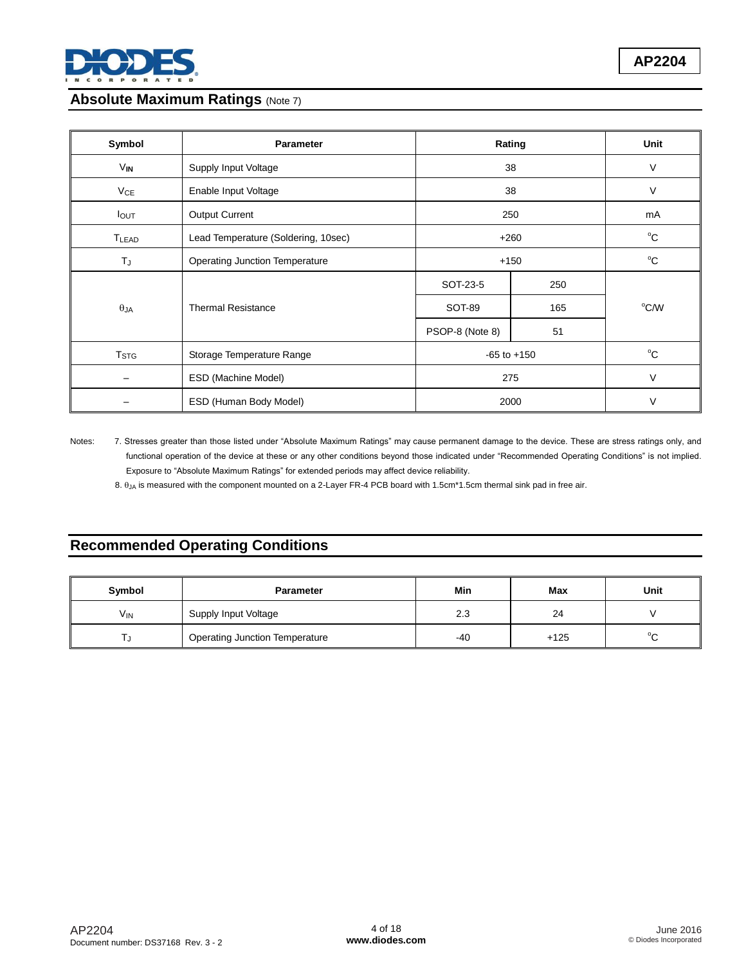

## **Absolute Maximum Ratings (Note 7)**

| Symbol           | Parameter                             | Rating          | Unit   |              |
|------------------|---------------------------------------|-----------------|--------|--------------|
| $V_{IN}$         | Supply Input Voltage                  | V               |        |              |
| $V_{CE}$         | Enable Input Voltage                  | 38              | $\vee$ |              |
| $I_{\text{OUT}}$ | <b>Output Current</b>                 | 250             |        | mA           |
| TLEAD            | Lead Temperature (Soldering, 10sec)   | $+260$          |        | $^{\circ}C$  |
| TJ               | <b>Operating Junction Temperature</b> | $+150$          |        | $^{\circ}$ C |
|                  |                                       | SOT-23-5        | 250    |              |
| $\theta_{JA}$    | <b>Thermal Resistance</b>             | SOT-89          | 165    | °C/W         |
|                  |                                       | PSOP-8 (Note 8) | 51     |              |
| T <sub>STG</sub> | Storage Temperature Range             | $-65$ to $+150$ |        | $^{\circ}C$  |
|                  | ESD (Machine Model)                   | 275             |        | $\vee$       |
|                  | ESD (Human Body Model)                | 2000            |        | V            |

Notes: 7. Stresses greater than those listed under "Absolute Maximum Ratings" may cause permanent damage to the device. These are stress ratings only, and functional operation of the device at these or any other conditions beyond those indicated under "Recommended Operating Conditions" is not implied. Exposure to "Absolute Maximum Ratings" for extended periods may affect device reliability.

8.  $\theta_{JA}$  is measured with the component mounted on a 2-Layer FR-4 PCB board with 1.5cm\*1.5cm thermal sink pad in free air.

## **Recommended Operating Conditions**

| Symbol                | <b>Parameter</b>                      | Min   | Max    | Unit   |
|-----------------------|---------------------------------------|-------|--------|--------|
| <b>V<sub>IN</sub></b> | Supply Input Voltage                  | 2.3   | 24     |        |
|                       | <b>Operating Junction Temperature</b> | $-40$ | $+125$ | $\sim$ |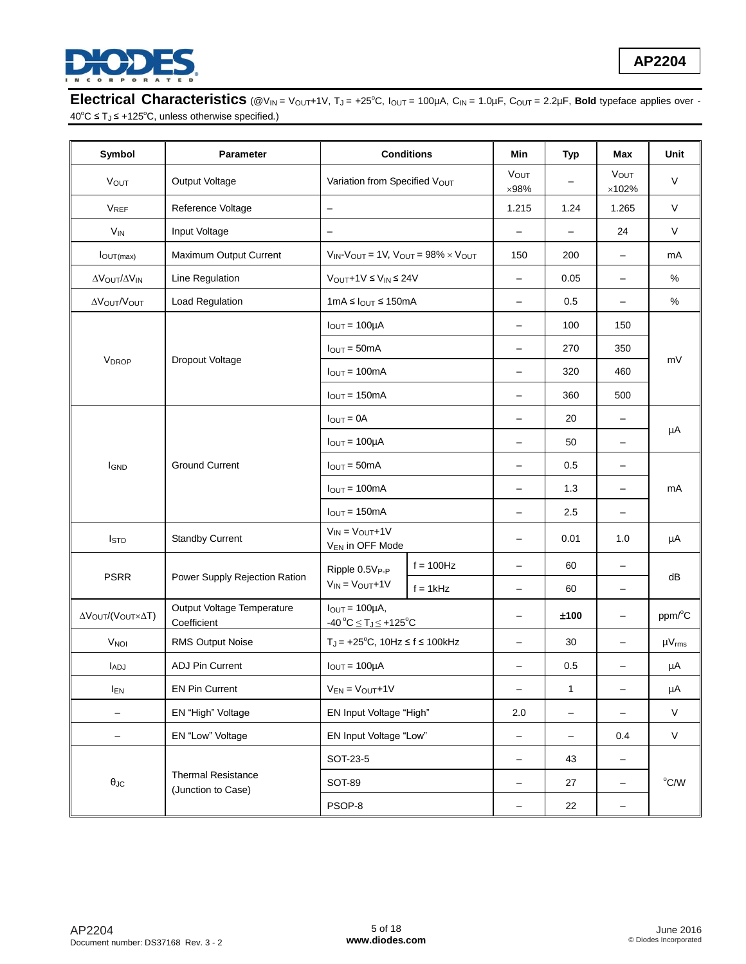

## **Electrical Characteristics** (@V<sub>IN</sub> = V<sub>OUT</sub>+1V, T<sub>J</sub> = +25°C, I<sub>OUT</sub> = 100µA, C<sub>IN</sub> = 1.0µF, C<sub>OUT</sub> = 2.2µF, Bold typeface applies over -40 $^{\circ}$ C ≤ T<sub>J</sub> ≤ +125 $^{\circ}$ C, unless otherwise specified.)

| Symbol                                                     | <b>Parameter</b>                                |                                                                       | <b>Conditions</b>        | Min                      | <b>Typ</b>               | Max                      | Unit                 |
|------------------------------------------------------------|-------------------------------------------------|-----------------------------------------------------------------------|--------------------------|--------------------------|--------------------------|--------------------------|----------------------|
| <b>VOUT</b>                                                | Output Voltage                                  | Variation from Specified VOUT                                         | VOUT<br>$\times 98\%$    |                          | VOUT<br>$\times$ 102%    | $\vee$                   |                      |
| <b>V<sub>REF</sub></b>                                     | Reference Voltage                               | $\overline{\phantom{m}}$                                              |                          | 1.215                    | 1.24                     | 1.265                    | V                    |
| <b>V<sub>IN</sub></b>                                      | Input Voltage                                   | $\equiv$                                                              |                          | $\overline{\phantom{a}}$ | $\qquad \qquad -$        | 24                       | $\vee$               |
| $I_{OUT(max)}$                                             | Maximum Output Current                          | $V_{IN}$ - $V_{OUT}$ = 1V, $V_{OUT}$ = 98% $\times$ $V_{OUT}$         |                          | 150                      | 200                      | $\overline{\phantom{0}}$ | mA                   |
| ΔVOUT/ΔVIN                                                 | Line Regulation                                 | $V_{OUT} + 1V \leq V_{IN} \leq 24V$                                   |                          | $\overline{\phantom{0}}$ | 0.05                     | $\overline{\phantom{0}}$ | $\%$                 |
| Δ V Ο υτ/ V Ο υτ                                           | Load Regulation                                 | $1mA \leq I_{OUT} \leq 150mA$                                         |                          | $\overline{\phantom{0}}$ | 0.5                      | $\overline{\phantom{0}}$ | $\%$                 |
|                                                            |                                                 | $I_{OUT} = 100 \mu A$                                                 |                          | —                        | 100                      | 150                      |                      |
|                                                            |                                                 | $I_{OUT} = 50mA$                                                      |                          | $\qquad \qquad -$        | 270                      | 350                      |                      |
| V <sub>DROP</sub>                                          | Dropout Voltage                                 | $I_{OUT} = 100mA$                                                     | $\overline{\phantom{0}}$ | 320                      | 460                      | mV                       |                      |
|                                                            |                                                 | $I_{OUT} = 150mA$                                                     | $\overline{\phantom{0}}$ | 360                      | 500                      |                          |                      |
|                                                            |                                                 | $I_{OUT} = 0A$                                                        | $\overline{\phantom{0}}$ | 20                       | $\overline{\phantom{0}}$ | μA                       |                      |
|                                                            |                                                 | $I_{OUT} = 100 \mu A$                                                 | —                        | 50                       | $\qquad \qquad -$        |                          |                      |
| <b>IGND</b>                                                | <b>Ground Current</b>                           | $I_{OUT} = 50mA$                                                      | $\qquad \qquad -$        | 0.5                      | $\qquad \qquad -$        | mA                       |                      |
|                                                            |                                                 | $IOUT = 100mA$                                                        | $\overline{\phantom{0}}$ | 1.3                      | $\qquad \qquad -$        |                          |                      |
|                                                            |                                                 | $I_{OUT} = 150mA$                                                     | $\overline{\phantom{0}}$ | 2.5                      | $\overline{\phantom{0}}$ |                          |                      |
| <b>I</b> stp                                               | <b>Standby Current</b>                          | $V_{IN} = V_{OUT} + 1V$<br>V <sub>EN</sub> in OFF Mode                |                          | —                        | 0.01                     | 1.0                      | μA                   |
|                                                            |                                                 | Ripple 0.5V <sub>P-P</sub>                                            | $f = 100$ Hz             | $\qquad \qquad -$        | 60                       |                          |                      |
| <b>PSRR</b>                                                | Power Supply Rejection Ration                   | $V_{IN} = V_{OUT} + 1V$                                               | $f = 1kHz$               | $\qquad \qquad -$        | 60                       | $\overline{\phantom{0}}$ | dB                   |
| Δ $V_{\text{OUT}}/(\text{V}_{\text{OUT}} \times \Delta T)$ | Output Voltage Temperature<br>Coefficient       | $I_{OUT} = 100 \mu A$ ,<br>$-40\degree C \leq T_J \leq +125\degree C$ |                          | $\qquad \qquad -$        | ±100                     | -                        | ppm/°C               |
| <b>V<sub>NOI</sub></b>                                     | <b>RMS Output Noise</b>                         | $T_J = +25^{\circ}C$ , 10Hz $\leq f \leq 100$ kHz                     |                          | $\overline{\phantom{0}}$ | 30                       | $\qquad \qquad -$        | $\mu V_{\text{rms}}$ |
| <b>LADJ</b>                                                | ADJ Pin Current                                 | $I_{OUT} = 100\mu A$                                                  |                          | 0.5                      |                          | μA                       |                      |
| <b>IEN</b>                                                 | <b>EN Pin Current</b>                           | $V_{EN} = V_{OUT} + 1V$                                               |                          | $\overline{\phantom{0}}$ | $\mathbf{1}$             | -                        | μA                   |
|                                                            | EN "High" Voltage                               | EN Input Voltage "High"                                               |                          | 2.0                      | $\qquad \qquad -$        | -                        | V                    |
| —                                                          | EN "Low" Voltage                                |                                                                       | EN Input Voltage "Low"   |                          | $\qquad \qquad -$        | 0.4                      | V                    |
|                                                            |                                                 | SOT-23-5                                                              | $\qquad \qquad -$        | 43                       | $\qquad \qquad -$        |                          |                      |
| $\theta_{\text{JC}}$                                       | <b>Thermal Resistance</b><br>(Junction to Case) | <b>SOT-89</b>                                                         |                          |                          | 27                       | $\overline{\phantom{0}}$ | °C/W                 |
|                                                            |                                                 | PSOP-8                                                                | -                        | 22                       | -                        |                          |                      |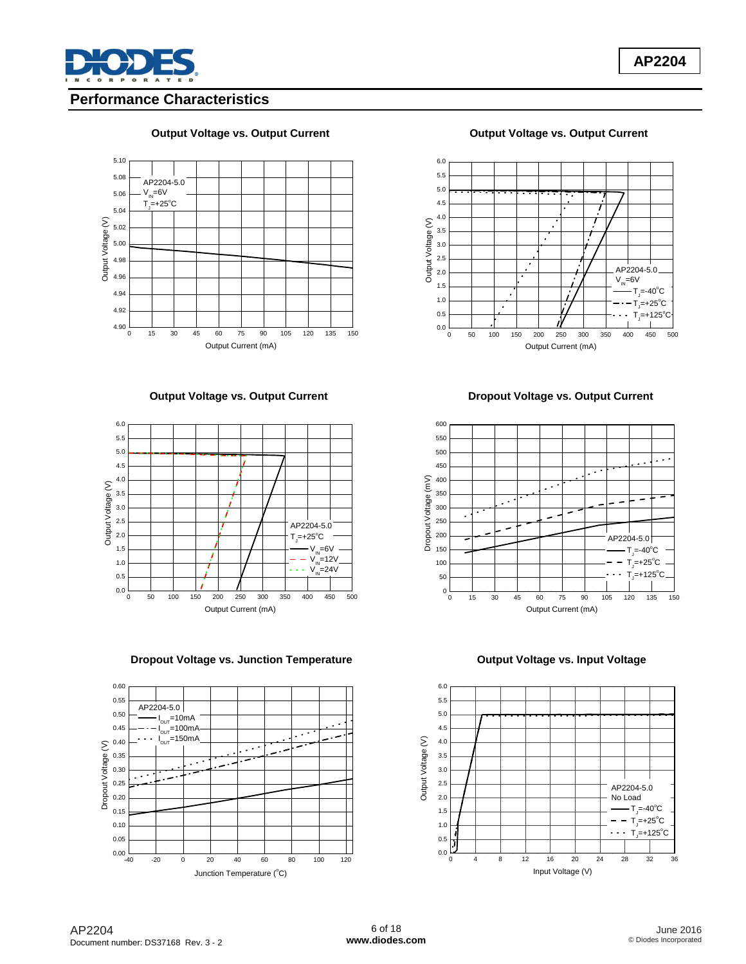

## **Performance Characteristics**

#### **Output Voltage vs. Output Current Current Current Current Current Current Current Current Current Current Current**



#### **Output Voltage vs. Output Current Current Current Dropout Voltage vs. Output Current**



**Dropout Voltage vs. Junction Temperature Community Contract Publishers Cutput Voltage vs. Input Voltage** 







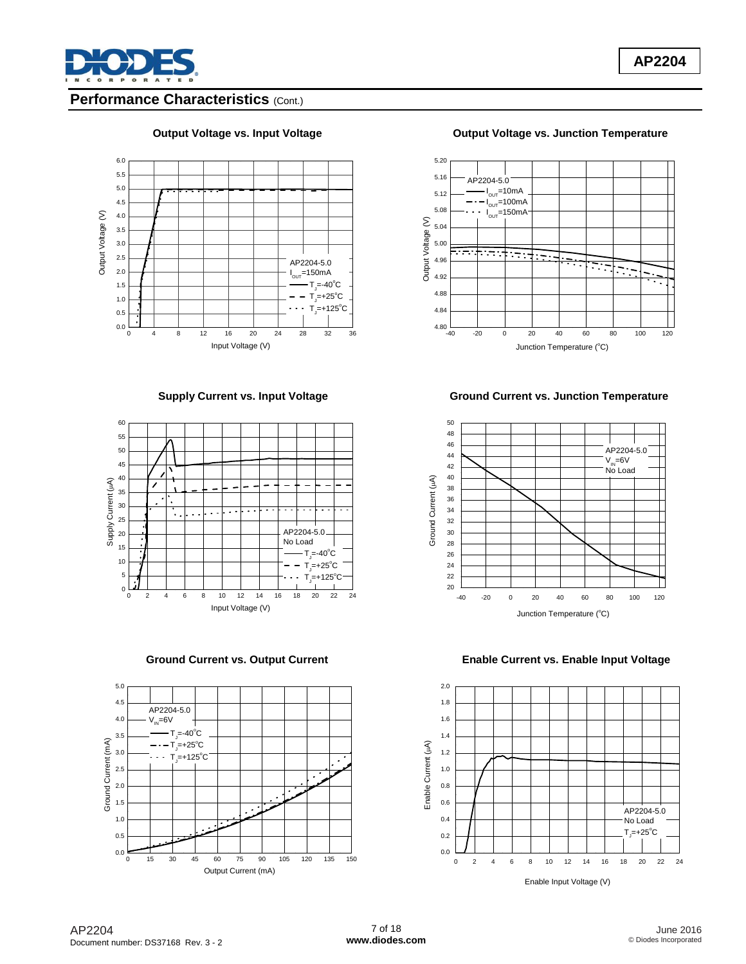

## **Performance Characteristics (Cont.)**









**Output Voltage vs. Input Voltage Community Coltage View Coltage vs. Junction Temperature** 



#### **Supply Current vs. Input Voltage Ground Current vs. Junction Temperature**



#### **Ground Current vs. Output Current Enable Current vs. Enable Input Voltage**

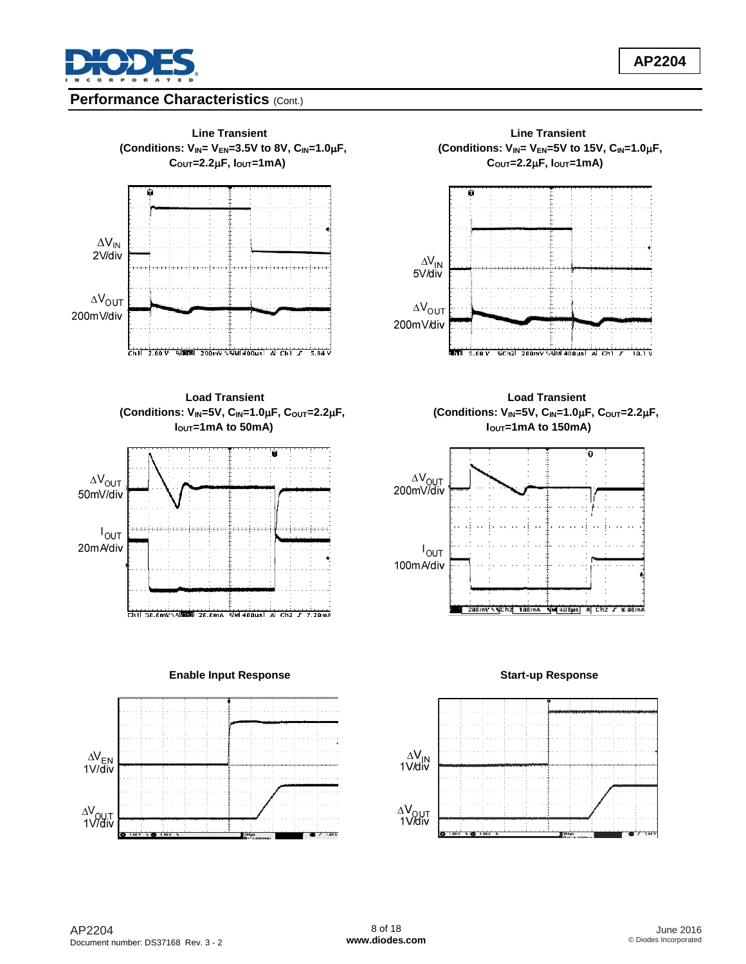

## **Performance Characteristics (Cont.)**



**Load Transient Load Transient I**<sub>OUT</sub>=1mA to 50mA) **IOUT** 









**(Conditions: VIN=5V, CIN=1.0F, COUT=2.2F, (Conditions: VIN=5V, CIN=1.0F, COUT=2.2F,**



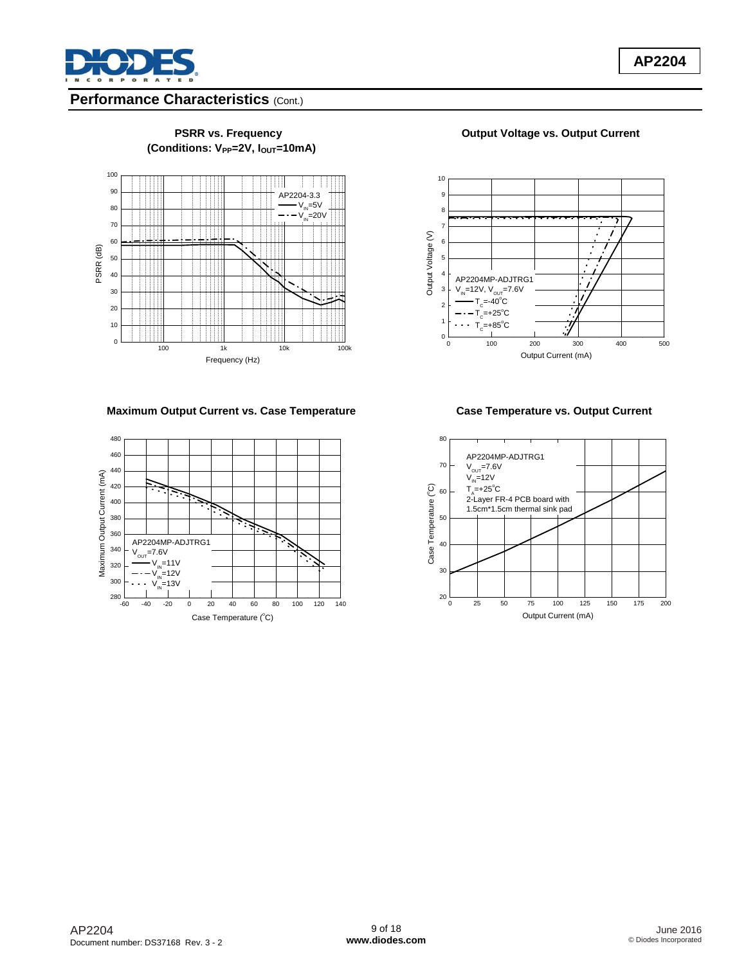

## **Performance Characteristics (Cont.)**



# **(Conditions: VPP=2V, IOUT=10mA)**

PSRR vs. Frequency **COUTF COUTF COUPSE VICE A** Current Current



#### **Maximum Output Current vs. Case Temperature Case Temperature vs. Output Current**



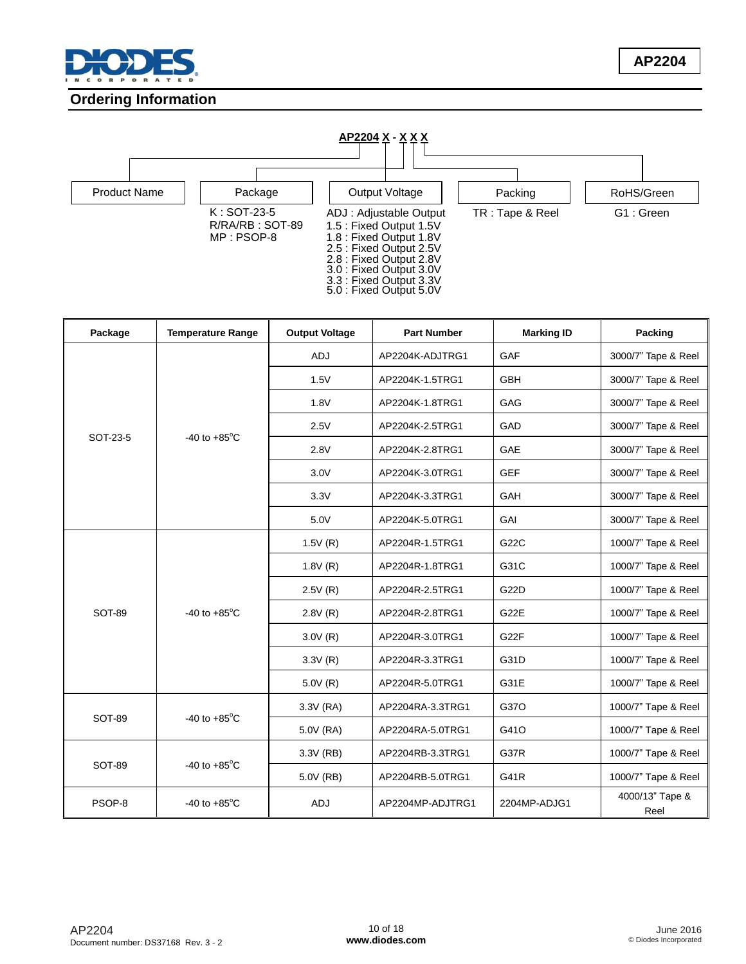

## **Ordering Information**



| Package       | <b>Temperature Range</b> | <b>Output Voltage</b> | <b>Part Number</b> | <b>Marking ID</b> | Packing                 |
|---------------|--------------------------|-----------------------|--------------------|-------------------|-------------------------|
| SOT-23-5      |                          | <b>ADJ</b>            | AP2204K-ADJTRG1    | GAF               | 3000/7" Tape & Reel     |
|               |                          | 1.5V                  | AP2204K-1.5TRG1    | GBH               | 3000/7" Tape & Reel     |
|               |                          | 1.8V                  | AP2204K-1.8TRG1    | GAG               | 3000/7" Tape & Reel     |
|               |                          | 2.5V                  | AP2204K-2.5TRG1    | GAD               | 3000/7" Tape & Reel     |
|               | $-40$ to $+85^{\circ}$ C | 2.8V                  | AP2204K-2.8TRG1    | GAE               | 3000/7" Tape & Reel     |
|               |                          | 3.0V                  | AP2204K-3.0TRG1    | <b>GEF</b>        | 3000/7" Tape & Reel     |
|               |                          | 3.3V                  | AP2204K-3.3TRG1    | GAH               | 3000/7" Tape & Reel     |
|               |                          | 5.0V                  | AP2204K-5.0TRG1    | GAI               | 3000/7" Tape & Reel     |
|               | -40 to $+85^{\circ}$ C   | 1.5V(R)               | AP2204R-1.5TRG1    | G22C              | 1000/7" Tape & Reel     |
|               |                          | 1.8V(R)               | AP2204R-1.8TRG1    | G31C              | 1000/7" Tape & Reel     |
|               |                          | 2.5V(R)               | AP2204R-2.5TRG1    | G22D              | 1000/7" Tape & Reel     |
| SOT-89        |                          | 2.8V(R)               | AP2204R-2.8TRG1    | G <sub>22</sub> E | 1000/7" Tape & Reel     |
|               |                          | 3.0V(R)               | AP2204R-3.0TRG1    | G <sub>22</sub> F | 1000/7" Tape & Reel     |
|               |                          | 3.3V(R)               | AP2204R-3.3TRG1    | G31D              | 1000/7" Tape & Reel     |
|               |                          | 5.0V(R)               | AP2204R-5.0TRG1    | G31E              | 1000/7" Tape & Reel     |
|               |                          | 3.3V (RA)             | AP2204RA-3.3TRG1   | G37O              | 1000/7" Tape & Reel     |
| <b>SOT-89</b> | -40 to $+85^{\circ}$ C   | 5.0V (RA)             | AP2204RA-5.0TRG1   | G41O              | 1000/7" Tape & Reel     |
|               |                          | 3.3V (RB)             | AP2204RB-3.3TRG1   | G37R              | 1000/7" Tape & Reel     |
| <b>SOT-89</b> | $-40$ to $+85^{\circ}$ C | 5.0V (RB)             | AP2204RB-5.0TRG1   | G41R              | 1000/7" Tape & Reel     |
| PSOP-8        | -40 to $+85^{\circ}$ C   | ADJ                   | AP2204MP-ADJTRG1   | 2204MP-ADJG1      | 4000/13" Tape &<br>Reel |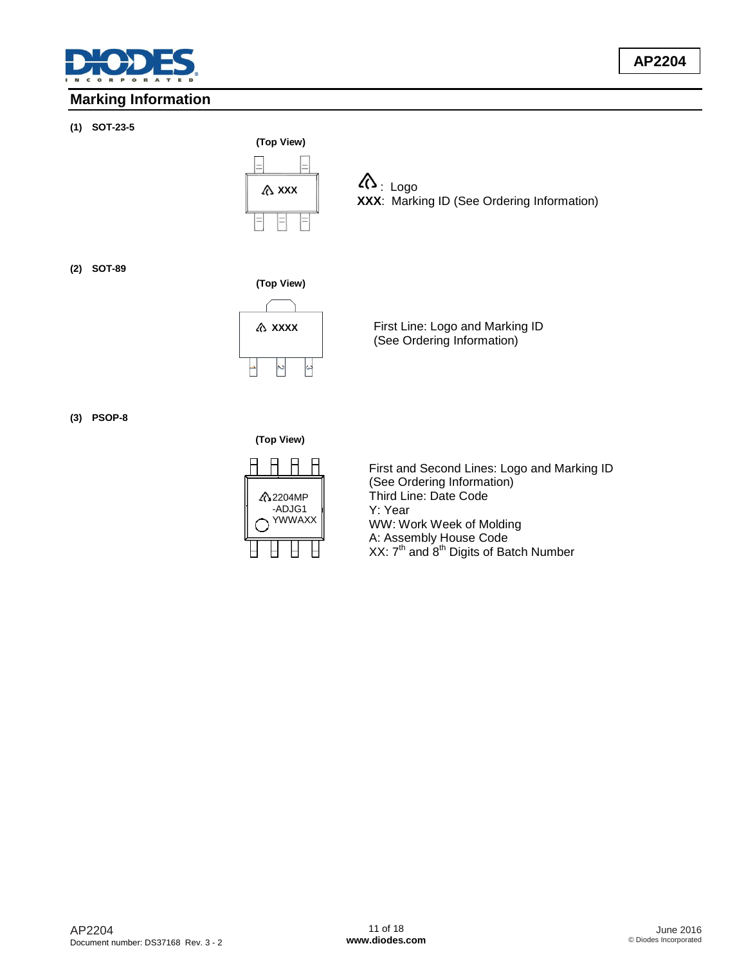



 $\Lambda$ : Logo **XXX**: Marking ID (See Ordering Information)

#### **(2) SOT-89**



First Line: Logo and Marking ID (See Ordering Information)

#### **(3) PSOP-8**

**(Top View)**



First and Second Lines: Logo and Marking ID (See Ordering Information) Third Line: Date Code Y: Year WW: Work Week of Molding A: Assembly House Code XX:  $7<sup>th</sup>$  and  $8<sup>th</sup>$  Digits of Batch Number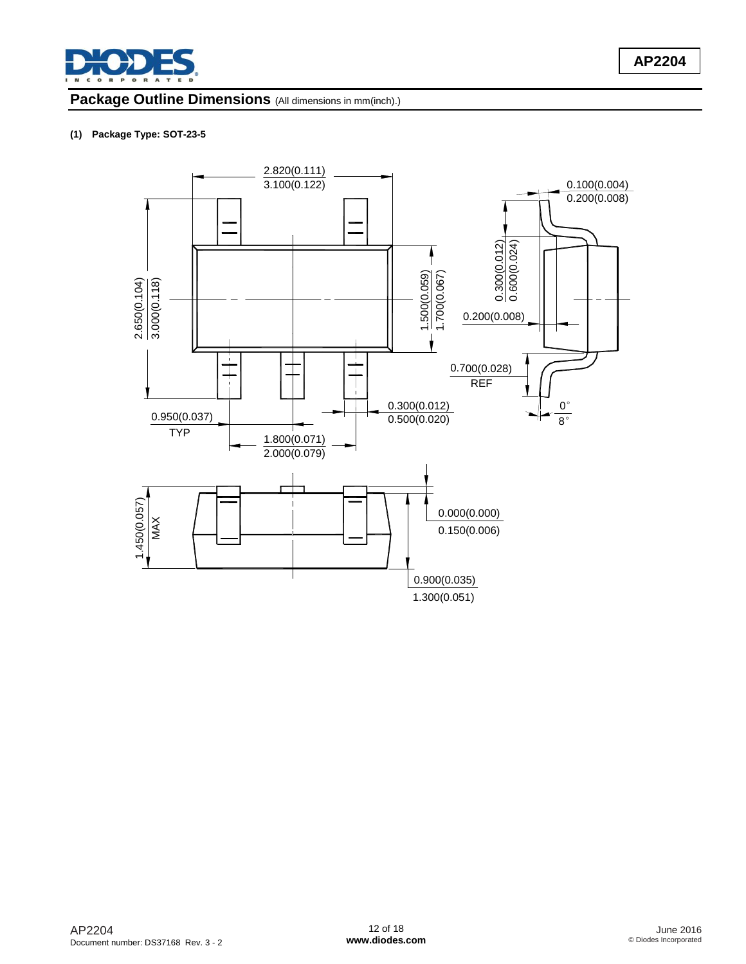

## **Package Outline Dimensions** (All dimensions in mm(inch).)

#### **(1) Package Type: SOT-23-5**

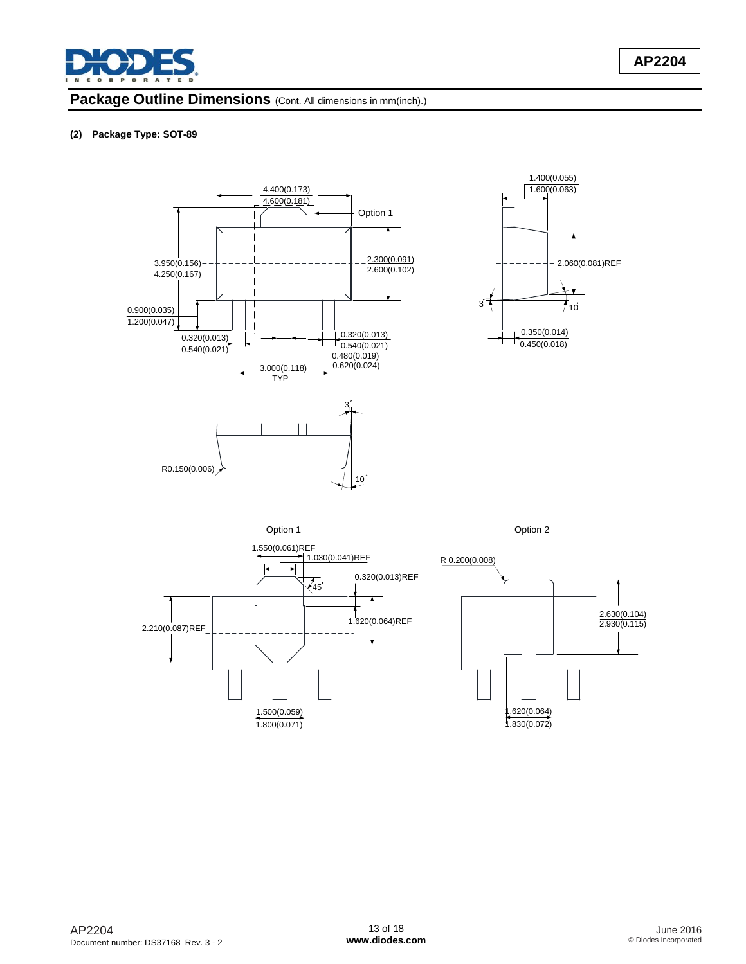

### Package Outline Dimensions (Cont. All dimensions in mm(inch).)

#### **(2) Package Type: SOT-89**









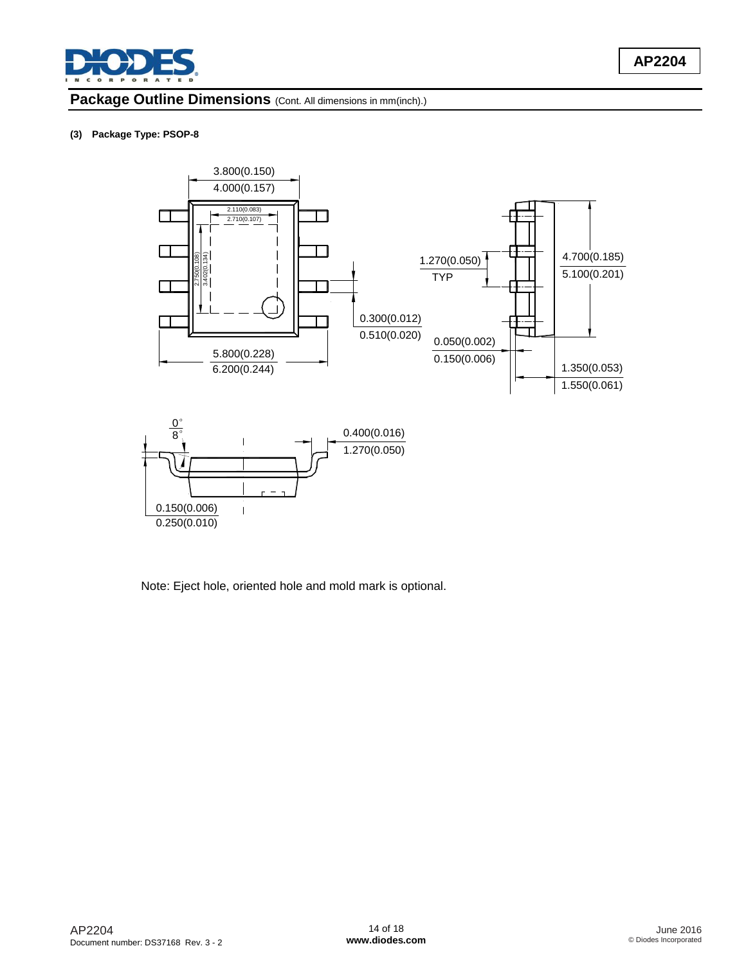

## Package Outline Dimensions (Cont. All dimensions in mm(inch).)

#### **(3) Package Type: PSOP-8**



Note: Eject hole, oriented hole and mold mark is optional.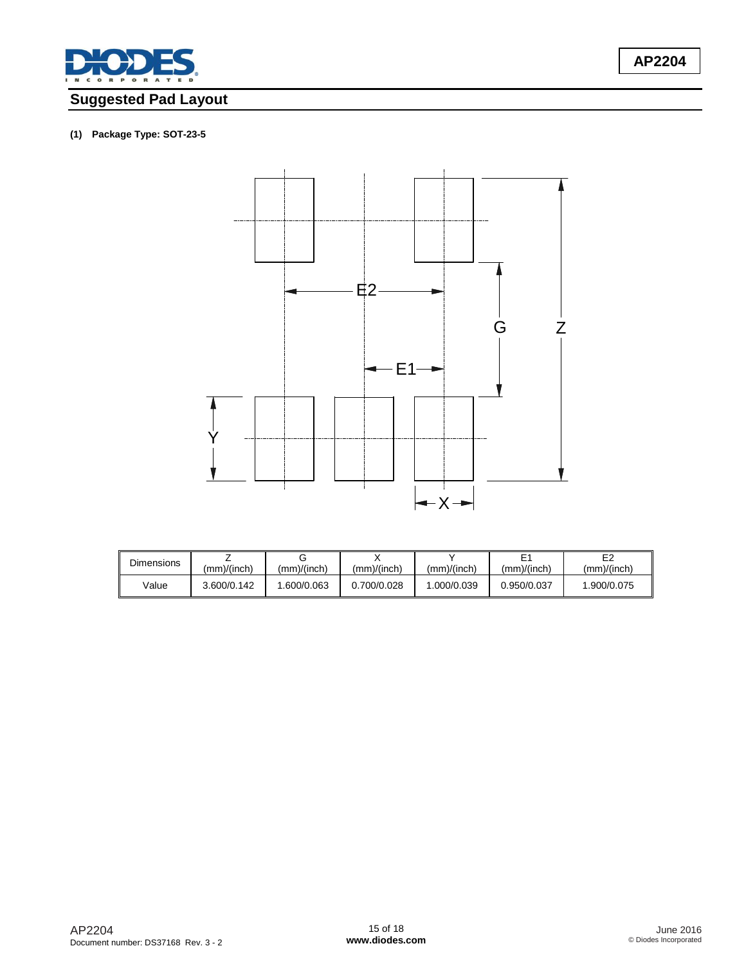

# **Suggested Pad Layout**

## **(1) Package Type: SOT-23-5**



| Dimensions | (mm)/(inch) | (mm)/(inch) | (mm)/(inch) | (mm)/(inch) | (mm)/(inch) | E <sub>2</sub><br>(mm)/(inch) |
|------------|-------------|-------------|-------------|-------------|-------------|-------------------------------|
| Value      | 3.600/0.142 | .600/0.063  | 0.700/0.028 | .000/0.039  | 0.950/0.037 | 1.900/0.075                   |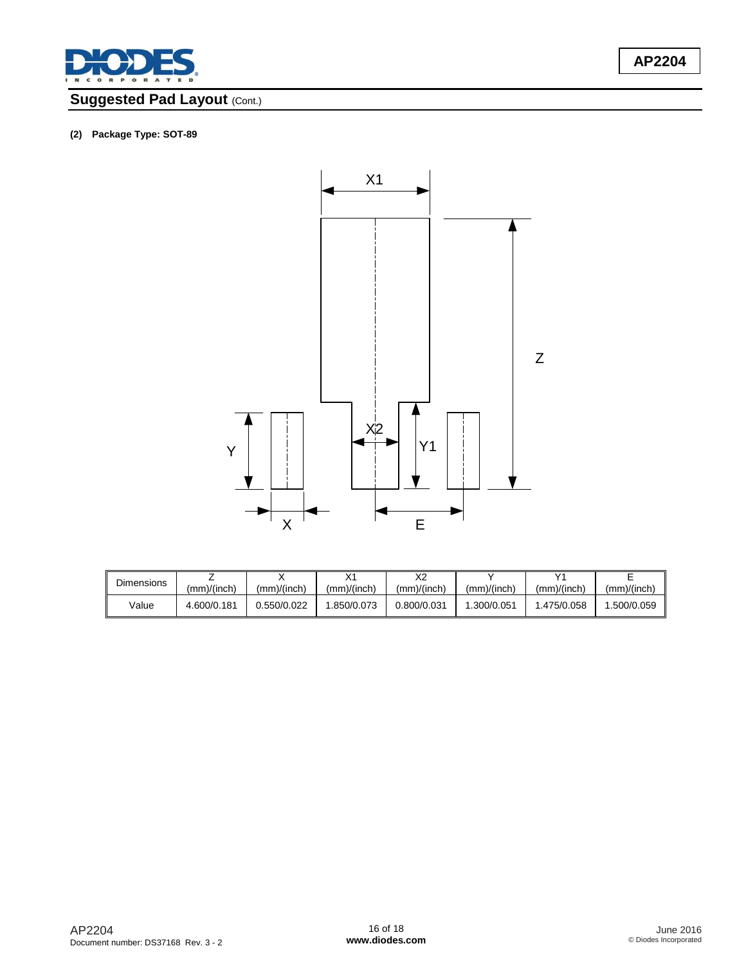

# **Suggested Pad Layout (Cont.)**

#### **(2) Package Type: SOT-89**



| <b>Dimensions</b> | $\langle mm \rangle$ (inch) | (mm)/(inch) | $\sqrt{4}$<br>(mm)/(inch) | vo<br>∼∠<br>(mm)/(inch) | (mm)/(inch) | v,<br>(mm)/(inch) | (mm)/(inch) |
|-------------------|-----------------------------|-------------|---------------------------|-------------------------|-------------|-------------------|-------------|
| Value             | 4.600/0.181                 | .550/0.022  | .850/0.073                | 0.800/0.031             | .300/0.051  | .475/0.058        | .500/0.059  |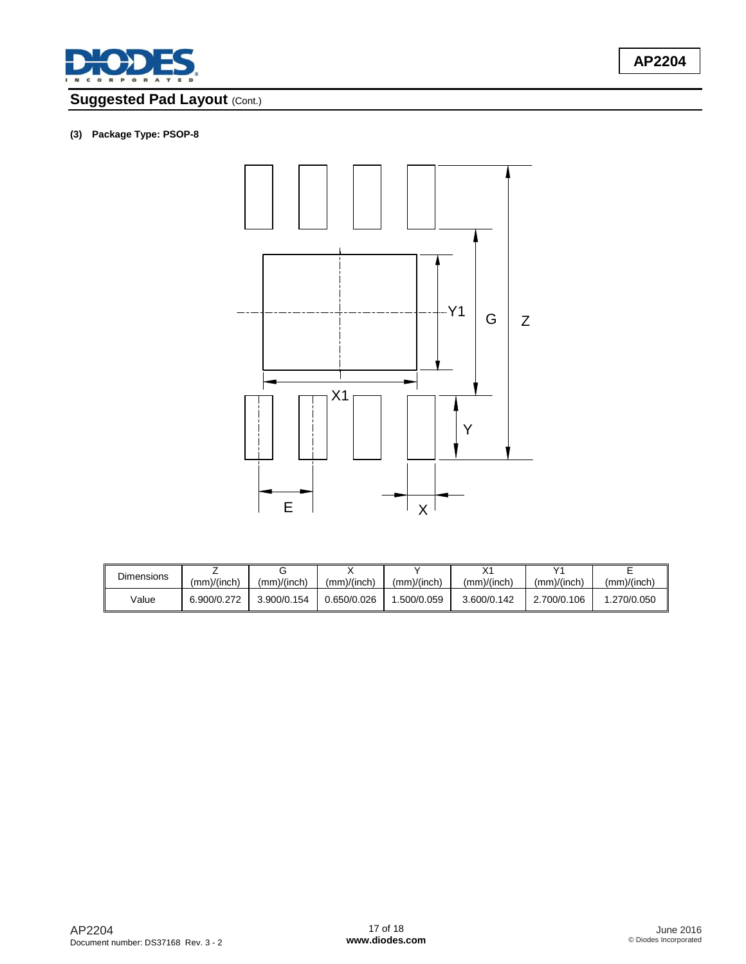

# **Suggested Pad Layout (Cont.)**

### **(3) Package Type: PSOP-8**



| <b>Dimensions</b> | (mm)/(inch) | (mm)/(inch) | (mm)/(inch) | (mm)/(inch) | (mm)/(inch) | v,<br>(mm)/(inch) | (mm)/(inch) |
|-------------------|-------------|-------------|-------------|-------------|-------------|-------------------|-------------|
| Value             | 6.900/0.272 | 3.900/0.154 | 0.650/0.026 | .500/0.059  | 3.600/0.142 | 2.700/0.106       | .270/0.050  |

**AP2204**